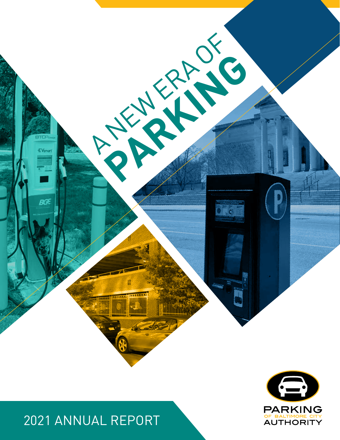



# 2021 ANNUAL REPORT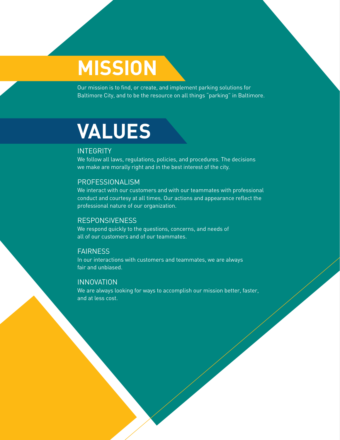# **MISSION**

Our mission is to find, or create, and implement parking solutions for Baltimore City, and to be the resource on all things "parking" in Baltimore.

# **VALUES**

#### INTEGRITY

We follow all laws, regulations, policies, and procedures. The decisions we make are morally right and in the best interest of the city.

#### PROFESSIONALISM

We interact with our customers and with our teammates with professional conduct and courtesy at all times. Our actions and appearance reflect the professional nature of our organization.

#### RESPONSIVENESS

We respond quickly to the questions, concerns, and needs of all of our customers and of our teammates.

#### **FAIRNESS**

In our interactions with customers and teammates, we are always fair and unbiased.

#### INNOVATION

We are always looking for ways to accomplish our mission better, faster, and at less cost.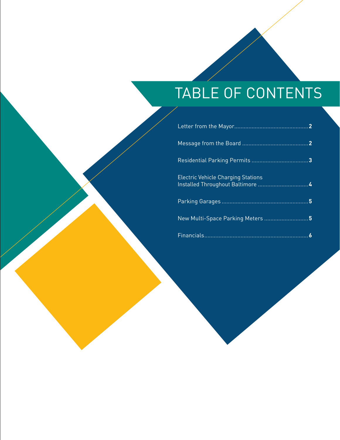# TABLE OF CONTENTS

| <b>Electric Vehicle Charging Stations</b> |  |
|-------------------------------------------|--|
|                                           |  |
| New Multi-Space Parking Meters 5          |  |
|                                           |  |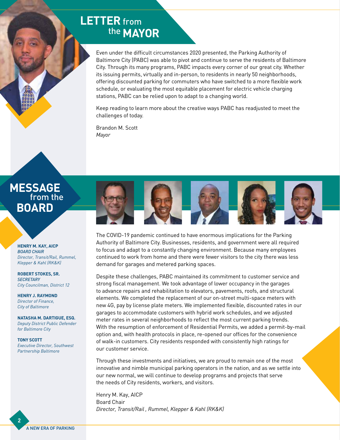## **LETTER** from the **MAYOR**

Even under the difficult circumstances 2020 presented, the Parking Authority of Baltimore City (PABC) was able to pivot and continue to serve the residents of Baltimore City. Through its many programs, PABC impacts every corner of our great city. Whether its issuing permits, virtually and in-person, to residents in nearly 50 neighborhoods, offering discounted parking for commuters who have switched to a more flexible work schedule, or evaluating the most equitable placement for electric vehicle charging stations, PABC can be relied upon to adapt to a changing world.

Keep reading to learn more about the creative ways PABC has readjusted to meet the challenges of today.

Brandon M. Scott *Mayor*

## **MESSAGE**  from the **BOARD**

**HENRY M. KAY, AICP** *BOARD CHAIR Director, Transit/Rail, Rummel, Klepper & Kahl (RK&K)*

**ROBERT STOKES, SR.** *SECRETARY City Councilman, District 12*

**HENRY J. RAYMOND** *Director of Finance, City of Baltimore*

**NATASHA M. DARTIGUE, ESQ.** *Deputy District Public Defender for Baltimore City*

**TONY SCOTT** *Executive Director, Southwest Partnership Baltimore*



The COVID-19 pandemic continued to have enormous implications for the Parking Authority of Baltimore City. Businesses, residents, and government were all required to focus and adapt to a constantly changing environment. Because many employees continued to work from home and there were fewer visitors to the city there was less demand for garages and metered parking spaces.

Despite these challenges, PABC maintained its commitment to customer service and strong fiscal management. We took advantage of lower occupancy in the garages to advance repairs and rehabilitation to elevators, pavements, roofs, and structural elements. We completed the replacement of our on-street multi-space meters with new 4G, pay by license plate meters. We implemented flexible, discounted rates in our garages to accommodate customers with hybrid work schedules, and we adjusted meter rates in several neighborhoods to reflect the most current parking trends. With the resumption of enforcement of Residential Permits, we added a permit-by-mail option and, with health protocols in place, re-opened our offices for the convenience of walk-in customers. City residents responded with consistently high ratings for our customer service.

Through these investments and initiatives, we are proud to remain one of the most innovative and nimble municipal parking operators in the nation, and as we settle into our new normal, we will continue to develop programs and projects that serve the needs of City residents, workers, and visitors.

Henry M. Kay, AICP Board Chair *Director, Transit/Rail , Rummel, Klepper & Kahl (RK&K)*

**2**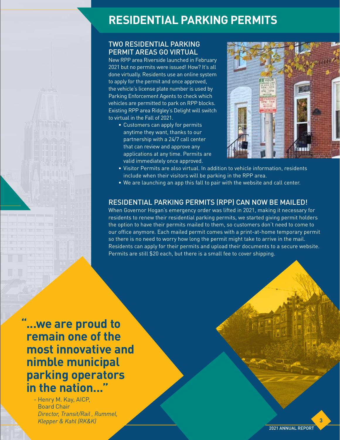# **RESIDENTIAL PARKING PERMITS**

#### TWO RESIDENTIAL PARKING PERMIT AREAS GO VIRTUAL

New RPP area Riverside launched in February 2021 but no permits were issued! How? It's all done virtually. Residents use an online system to apply for the permit and once approved, the vehicle's license plate number is used by Parking Enforcement Agents to check which vehicles are permitted to park on RPP blocks. Existing RPP area Ridgley's Delight will switch to virtual in the Fall of 2021.

• Customers can apply for permits anytime they want, thanks to our partnership with a 24/7 call center that can review and approve any applications at any time. Permits are valid immediately once approved.



- Visitor Permits are also virtual. In addition to vehicle information, residents include when their visitors will be parking in the RPP area.
- We are launching an app this fall to pair with the website and call center.

#### RESIDENTIAL PARKING PERMITS (RPP) CAN NOW BE MAILED!

When Governor Hogan's emergency order was lifted in 2021, making it necessary for residents to renew their residential parking permits, we started giving permit holders the option to have their permits mailed to them, so customers don't need to come to our office anymore. Each mailed permit comes with a print-at-home temporary permit so there is no need to worry how long the permit might take to arrive in the mail. Residents can apply for their permits and upload their documents to a secure website. Permits are still \$20 each, but there is a small fee to cover shipping.

**"...we are proud to remain one of the most innovative and nimble municipal parking operators in the nation..."**

- Henry M. Kay, AICP, Board Chair *Director, Transit/Rail , Rummel, Klepper & Kahl (RK&K)*

**3**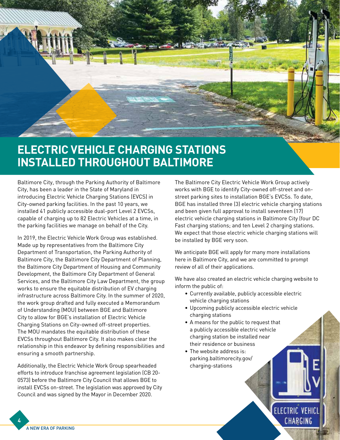

# **ELECTRIC VEHICLE CHARGING STATIONS INSTALLED THROUGHOUT BALTIMORE**

Baltimore City, through the Parking Authority of Baltimore City, has been a leader in the State of Maryland in introducing Electric Vehicle Charging Stations (EVCS) in City-owned parking facilities. In the past 10 years, we installed 41 publicly accessible dual-port Level 2 EVCSs, capable of charging up to 82 Electric Vehicles at a time, in the parking facilities we manage on behalf of the City.

In 2019, the Electric Vehicle Work Group was established. Made up by representatives from the Baltimore City Department of Transportation, the Parking Authority of Baltimore City, the Baltimore City Department of Planning, the Baltimore City Department of Housing and Community Development, the Baltimore City Department of General Services, and the Baltimore City Law Department, the group works to ensure the equitable distribution of EV charging infrastructure across Baltimore City. In the summer of 2020, the work group drafted and fully executed a Memorandum of Understanding (MOU) between BGE and Baltimore City to allow for BGE's installation of Electric Vehicle Charging Stations on City-owned off-street properties. The MOU mandates the equitable distribution of these EVCSs throughout Baltimore City. It also makes clear the relationship in this endeavor by defining responsibilities and ensuring a smooth partnership.

Additionally, the Electric Vehicle Work Group spearheaded efforts to introduce franchise agreement legislation (CB 20- 0573) before the Baltimore City Council that allows BGE to install EVCSs on-street. The legislation was approved by City Council and was signed by the Mayor in December 2020.

The Baltimore City Electric Vehicle Work Group actively works with BGE to identify City-owned off-street and onstreet parking sites to installation BGE's EVCSs. To date, BGE has installed three (3) electric vehicle charging stations and been given full approval to install seventeen (17) electric vehicle charging stations in Baltimore City (four DC Fast charging stations; and ten Level 2 charging stations. We expect that those electric vehicle charging stations will be installed by BGE very soon.

We anticipate BGE will apply for many more installations here in Baltimore City, and we are committed to prompt review of all of their applications.

We have also created an electric vehicle charging website to inform the public of:

- Currently available, publicly accessible electric vehicle charging stations
- Upcoming publicly accessible electric vehicle charging stations

**ELECTRIC VEHICL** 

CHARGING

- A means for the public to request that a publicly accessible electric vehicle charging station be installed near their residence or business
- The website address is: parking.baltimorecity.gov/ charging-stations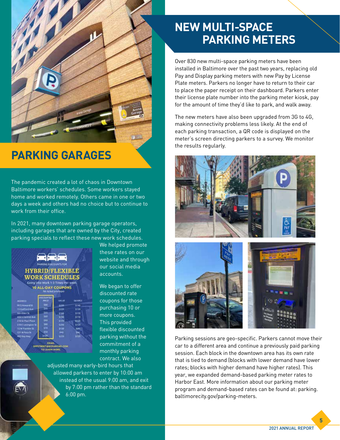

## **PARKING GARAGES**

The pandemic created a lot of chaos in Downtown Baltimore workers' schedules. Some workers stayed home and worked remotely. Others came in one or two days a week and others had no choice but to continue to work from their office.

In 2021, many downtown parking garage operators, including garages that are owned by the City, created parking specials to reflect these new work schedules.



We helped promote these rates on our website and through our social media accounts.

We began to offer discounted rate coupons for those purchasing 10 or more coupons. This provided flexible discounted parking without the commitment of a monthly parking contract. We also

adjusted many early-bird hours that allowed parkers to enter by 10:00 am instead of the usual 9:00 am, and exit by 7:00 pm rather than the standard 6:00 pm.

# **NEW MULTI-SPACE PARKING METERS**

Over 830 new multi-space parking meters have been installed in Baltimore over the past two years, replacing old Pay and Display parking meters with new Pay by License Plate meters. Parkers no longer have to return to their car to place the paper receipt on their dashboard. Parkers enter their license plate number into the parking meter kiosk, pay for the amount of time they'd like to park, and walk away.

The new meters have also been upgraded from 3G to 4G, making connectivity problems less likely. At the end of each parking transaction, a QR code is displayed on the meter's screen directing parkers to a survey. We monitor the results regularly.





Parking sessions are geo-specific. Parkers cannot move their car to a different area and continue a previously paid parking session. Each block in the downtown area has its own rate that is tied to demand (blocks with lower demand have lower rates; blocks with higher demand have higher rates). This year, we expanded demand-based parking meter rates to Harbor East. More information about our parking meter program and demand-based rates can be found at: parking. baltimorecity.gov/parking-meters.

2021 ANNUAL REPORT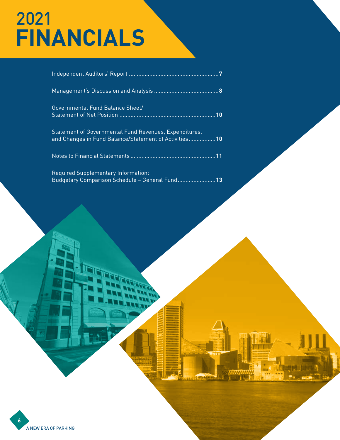# 2021 **FINANCIALS**

| Governmental Fund Balance Sheet/<br>10                                                                          |
|-----------------------------------------------------------------------------------------------------------------|
| Statement of Governmental Fund Revenues, Expenditures,<br>and Changes in Fund Balance/Statement of Activities10 |
|                                                                                                                 |
| Required Supplementary Information:<br>Budgetary Comparison Schedule - General Fund<br>13                       |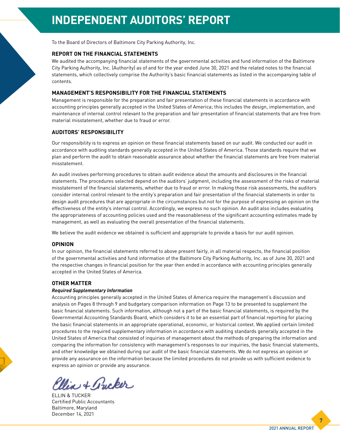To the Board of Directors of Baltimore City Parking Authority, Inc.

#### **REPORT ON THE FINANCIAL STATEMENTS**

We audited the accompanying financial statements of the governmental activities and fund information of the Baltimore City Parking Authority, Inc. (Authority) as of and for the year ended June 30, 2021 and the related notes to the financial statements, which collectively comprise the Authority's basic financial statements as listed in the accompanying table of contents.

#### **MANAGEMENT'S RESPONSIBILITY FOR THE FINANCIAL STATEMENTS**

Management is responsible for the preparation and fair presentation of these financial statements in accordance with accounting principles generally accepted in the United States of America; this includes the design, implementation, and maintenance of internal control relevant to the preparation and fair presentation of financial statements that are free from material misstatement, whether due to fraud or error.

#### **AUDITORS' RESPONSIBILITY**

Our responsibility is to express an opinion on these financial statements based on our audit. We conducted our audit in accordance with auditing standards generally accepted in the United States of America. Those standards require that we plan and perform the audit to obtain reasonable assurance about whether the financial statements are free from material misstatement.

An audit involves performing procedures to obtain audit evidence about the amounts and disclosures in the financial statements. The procedures selected depend on the auditors' judgment, including the assessment of the risks of material misstatement of the financial statements, whether due to fraud or error. In making those risk assessments, the auditors consider internal control relevant to the entity's preparation and fair presentation of the financial statements in order to design audit procedures that are appropriate in the circumstances but not for the purpose of expressing an opinion on the effectiveness of the entity's internal control. Accordingly, we express no such opinion. An audit also includes evaluating the appropriateness of accounting policies used and the reasonableness of the significant accounting estimates made by management, as well as evaluating the overall presentation of the financial statements.

We believe the audit evidence we obtained is sufficient and appropriate to provide a basis for our audit opinion.

#### **OPINION**

In our opinion, the financial statements referred to above present fairly, in all material respects, the financial position of the governmental activities and fund information of the Baltimore City Parking Authority, Inc. as of June 30, 2021 and the respective changes in financial position for the year then ended in accordance with accounting principles generally accepted in the United States of America.

#### **OTHER MATTER**

#### *Required Supplementary Information*

Accounting principles generally accepted in the United States of America require the management's discussion and analysis on Pages 8 through 9 and budgetary comparison information on Page 13 to be presented to supplement the basic financial statements. Such information, although not a part of the basic financial statements, is required by the Governmental Accounting Standards Board, which considers it to be an essential part of financial reporting for placing the basic financial statements in an appropriate operational, economic, or historical context. We applied certain limited procedures to the required supplementary information in accordance with auditing standards generally accepted in the United States of America that consisted of inquiries of management about the methods of preparing the information and comparing the information for consistency with management's responses to our inquiries, the basic financial statements, and other knowledge we obtained during our audit of the basic financial statements. We do not express an opinion or provide any assurance on the information because the limited procedures do not provide us with sufficient evidence to express an opinion or provide any assurance.

lia + Pucker

ELLIN & TUCKER Certified Public Accountants Baltimore, Maryland December 14, 2021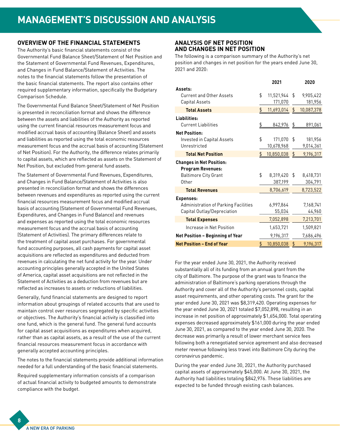#### **OVERVIEW OF THE FINANCIAL STATEMENTS**

The Authority's basic financial statements consist of the Governmental Fund Balance Sheet/Statement of Net Position and the Statement of Governmental Fund Revenues, Expenditures, and Changes in Fund Balance/Statement of Activities. The notes to the financial statements follow the presentation of the basic financial statements. The report also contains other required supplementary information, specifically the Budgetary Comparison Schedule.

The Governmental Fund Balance Sheet/Statement of Net Position is presented in reconciliation format and shows the difference between the assets and liabilities of the Authority as reported using the current financial resources measurement focus and modified accrual basis of accounting (Balance Sheet) and assets and liabilities as reported using the total economic resources measurement focus and the accrual basis of accounting (Statement of Net Position). For the Authority, the difference relates primarily to capital assets, which are reflected as assets on the Statement of Net Position, but excluded from general fund assets.

The Statement of Governmental Fund Revenues, Expenditures, and Changes in Fund Balance/Statement of Activities is also presented in reconciliation format and shows the differences between revenues and expenditures as reported using the current financial resources measurement focus and modified accrual basis of accounting (Statement of Governmental Fund Revenues, Expenditures, and Changes in Fund Balance) and revenues and expenses as reported using the total economic resources measurement focus and the accrual basis of accounting (Statement of Activities). The primary differences relate to the treatment of capital asset purchases. For governmental fund accounting purposes, all cash payments for capital asset acquisitions are reflected as expenditures and deducted from revenues in calculating the net fund activity for the year. Under accounting principles generally accepted in the United States of America, capital asset acquisitions are not reflected in the Statement of Activities as a deduction from revenues but are reflected as increases to assets or reductions of liabilities.

Generally, fund financial statements are designed to report information about groupings of related accounts that are used to maintain control over resources segregated by specific activities or objectives. The Authority's financial activity is classified into one fund, which is the general fund. The general fund accounts for capital asset acquisitions as expenditures when acquired, rather than as capital assets, as a result of the use of the current financial resources measurement focus in accordance with generally accepted accounting principles.

The notes to the financial statements provide additional information needed for a full understanding of the basic financial statements.

Required supplementary information consists of a comparison of actual financial activity to budgeted amounts to demonstrate compliance with the budget.

#### **ANALYSIS OF NET POSITION AND CHANGES IN NET POSITION**

The following is a comparison summary of the Authority's net position and changes in net position for the years ended June 30, 2021 and 2020:

|                                      |     | 2021       |                           | 2020       |
|--------------------------------------|-----|------------|---------------------------|------------|
| Assets:                              |     |            |                           |            |
| <b>Current and Other Assets</b>      | \$  | 11,521,944 | \$                        | 9,905,422  |
| Capital Assets                       |     | 171,070    |                           | 181,956    |
| <b>Total Assets</b>                  | \$  | 11,693,014 | \$                        | 10,087,378 |
| Liabilities:                         |     |            |                           |            |
| <b>Current Liabilities</b>           | \$_ | 842,976    | $\frac{1}{2}$             | 891,061    |
| <b>Net Position:</b>                 |     |            |                           |            |
| Invested in Capital Assets           | \$  | 171,070    | \$                        | 181,956    |
| Unrestricted                         |     | 10,678,968 |                           | 9,014,361  |
| <b>Total Net Position</b>            | \$  | 10,850,038 | \$                        | 9,196,317  |
| <b>Changes in Net Position:</b>      |     |            |                           |            |
| <b>Program Revenues:</b>             |     |            |                           |            |
| <b>Baltimore City Grant</b>          | \$  | 8,319,420  | \$                        | 8,418,731  |
| Other                                |     | 387,199    |                           | 304,791    |
| <b>Total Revenues</b>                |     | 8,706,619  |                           | 8,723,522  |
| <b>Expenses:</b>                     |     |            |                           |            |
| Administration of Parking Facilities |     | 6,997,864  |                           | 7.168.741  |
| Capital Outlay/Depreciation          |     | 55,034     |                           | 44,960     |
| <b>Total Expenses</b>                |     | 7,052,898  |                           | 7,213,701  |
| Increase in Net Position             |     | 1,653,721  |                           | 1,509,821  |
| Net Position - Beginning of Year     |     | 9,196,317  |                           | 7,686,496  |
| <b>Net Position - End of Year</b>    | \$  | 10,850,038 | $\overline{\mathfrak{p}}$ | 9,196,317  |

For the year ended June 30, 2021, the Authority received substantially all of its funding from an annual grant from the city of Baltimore. The purpose of the grant was to finance the administration of Baltimore's parking operations through the Authority and cover all of the Authority's personnel costs, capital asset requirements, and other operating costs. The grant for the year ended June 30, 2021 was \$8,319,420. Operating expenses for the year ended June 30, 2021 totaled \$7,052,898, resulting in an increase in net position of approximately \$1,654,000. Total operating expenses decreased approximately \$161,000 during the year ended June 30, 2021, as compared to the year ended June 30, 2020. The decrease was primarily a result of lower merchant service fees following both a renegotiated service agreement and also decreased meter revenue following less travel into Baltimore City during the coronavirus pandemic.

During the year ended June 30, 2021, the Authority purchased capital assets of approximately \$45,000. At June 30, 2021, the Authority had liabilities totaling \$842,976. These liabilities are expected to be funded through existing cash balances.

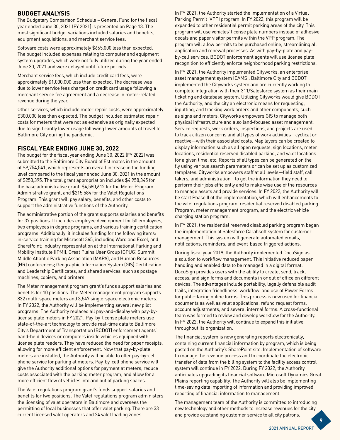#### **BUDGET ANALYSIS**

The Budgetary Comparison Schedule – General Fund for the fiscal year ended June 30, 2021 (FY 2021) is presented on Page 13. The most significant budget variations included salaries and benefits, equipment acquisitions, and merchant service fees.

Software costs were approximately \$665,000 less than expected. The budget included expenses relating to computer and equipment system upgrades, which were not fully utilized during the year ended June 30, 2021 and were delayed until future periods.

Merchant service fees, which include credit card fees, were approximately \$1,000,000 less than expected. The decrease was due to lower service fees charged on credit card usage following a merchant service fee agreement and a decrease in meter-related revenue during the year.

Other services, which include meter repair costs, were approximately \$300,000 less than expected. The budget included estimated repair costs for meters that were not as extensive as originally expected due to significantly lower usage following lower amounts of travel to Baltimore City during the pandemic.

#### **FISCAL YEAR ENDING JUNE 30, 2022**

The budget for the fiscal year ending June 30, 2022 (FY 2022) was submitted to the Baltimore City Board of Estimates in the amount of \$9,754,541, which represents an overall increase in the funding level compared to the fiscal year ended June 30, 2021 in the amount of \$250,395. The total grant appropriation includes \$4,958,345 for the base administrative grant, \$4,580,612 for the Meter Program Administrative grant, and \$215,584 for the Valet Regulations Program. This grant will pay salary, benefits, and other costs to support the administrative functions of the Authority.

The administrative portion of the grant supports salaries and benefits for 37 positions. It includes employee development for 50 employees, two employees in degree programs, and various training certification programs. Additionally, it includes funding for the following items: in-service training for Microsoft 365, including Word and Excel, and SharePoint; industry representation at the International Parking and Mobility Institute (IPMI), Great Plains User Group (GPUG) Summit, Middle Atlantic Parking Association (MAPA), and Human Resources (HR) conferences; Geographic Information System (GIS) Certification and Leadership Certificates; and shared services, such as postage machines, copiers, and printers.

The Meter management program grant's funds support salaries and benefits for 10 positions. The Meter management program supports 832 multi-space meters and 3,547 single-space electronic meters. In FY 2022, the Authority will be implementing several new pilot programs. The Authority replaced all pay-and-display with pay-bylicense plate meters in FY 2021. Pay-by-license plate meters use state-of-the-art technology to provide real-time data to Baltimore City's Department of Transportation (BCDOT) enforcement agents' hand-held devices or computers inside vehicles equipped with license plate readers. They have reduced the need for paper receipts, allowing for more efficient enforcement. Now that pay-by-plate meters are installed, the Authority will be able to offer pay-by-cell phone service for parking at meters. Pay-by-cell phone service will give the Authority additional options for payment at meters, reduce costs associated with the parking meter program, and allow for a more efficient flow of vehicles into and out of parking spaces.

The Valet regulations program grant's funds support salaries and benefits for two positions. The Valet regulations program administers the licensing of valet operators in Baltimore and oversees the permitting of local businesses that offer valet parking. There are 33 current licensed valet operators and 24 valet loading zones.

In FY 2021, the Authority started the implementation of a Virtual Parking Permit (VPP) program. In FY 2022, this program will be expanded to other residential permit parking areas of the city. This program will use vehicles' license plate numbers instead of adhesive decals and paper visitor permits within the VPP program. The program will allow permits to be purchased online, streamlining all application and renewal processes. As with pay-by-plate and payby-cell services, BCDOT enforcement agents will use license plate recognition to efficiently enforce neighborhood parking restrictions.

In FY 2021, the Authority implemented Cityworks, an enterprise asset management system (EAMS). Baltimore City and BCDOT implemented the Cityworks system and are currently working to complete integration with their 311/Salesforce system as their main ticketing and database system. Utilizing Cityworks would give BCDOT, the Authority, and the city an electronic means for requesting, inputting, and tracking work orders and other components, such as signs and meters. Cityworks empowers GIS to manage both physical infrastructure and also land-focused asset management. Service requests, work orders, inspections, and projects are used to track citizen concerns and all types of work activities—cyclical or reactive—with their associated costs. Map layers can be created to display information such as all open requests, sign locations, meter locations, residential reserved disabled parking, and valet locations for a given time, etc. Reports of all types can be generated on the fly using various search parameters or can be set up as customized templates. Cityworks empowers staff at all levels—field staff, call takers, and administration—to get the information they need to perform their jobs efficiently and to make wise use of the resources to manage assets and provide services. In FY 2022, the Authority will be start Phase II of the implementation, which will enhancements to the valet regulations program, residential reserved disabled parking Program, meter management program, and the electric vehicle charging station program.

In FY 2021, the residential reserved disabled parking program began the implementation of Salesforce Carahsoft system for customer management. This system will generate automated emails, notifications, reminders, and event-based triggered actions.

During fiscal year 2019, the Authority implemented DocuSign as a solution to workflow management. This initiative reduced paper handling and enabled data to be managed in a digital format. DocuSign provides users with the ability to create, send, track, access, and sign forms and documents in or out of office on different devices. The advantages include portability, legally defensible audit trails, integration friendliness, workflow, and use of Power Forms for public-facing online forms. This process is now used for financial documents as well as valet applications, refund request forms, account adjustments, and several internal forms. A cross-functional team was formed to review and develop workflow for the Authority. In FY 2022, the Authority will continue to expand this initiative throughout its organization.

The financial system is now generating reports electronically, containing current financial information by program, which is being posted on the Authority's SharePoint site. Implementation of software to manage the revenue process and to coordinate the electronic transfer of data from the billing system to the facility access control system will continue in FY 2022. During FY 2022, the Authority anticipates upgrading its financial software Microsoft Dynamics Great Plains reporting capability. The Authority will also be implementing time-saving data importing of information and providing improved reporting of financial information to management.

The management team of the Authority is committed to introducing new technology and other methods to increase revenues for the city and provide outstanding customer service to all city patrons.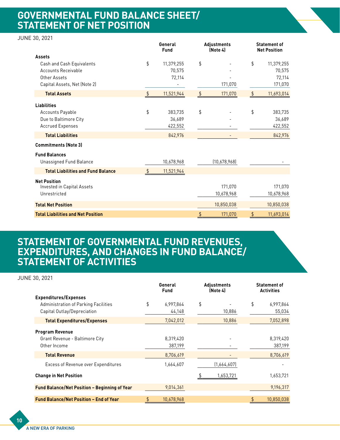## **GOVERNMENTAL FUND BALANCE SHEET/ STATEMENT OF NET POSITION**

#### JUNE 30, 2021

|                                           |    | General<br>Fund |               | Adjustments<br>(Note 4) | <b>Statement of</b><br><b>Net Position</b> |            |  |
|-------------------------------------------|----|-----------------|---------------|-------------------------|--------------------------------------------|------------|--|
| <b>Assets</b>                             |    |                 |               |                         |                                            |            |  |
| Cash and Cash Equivalents                 | \$ | 11,379,255      | \$            |                         | \$                                         | 11,379,255 |  |
| <b>Accounts Receivable</b>                |    | 70,575          |               |                         |                                            | 70,575     |  |
| Other Assets                              |    | 72,114          |               |                         |                                            | 72,114     |  |
| Capital Assets, Net (Note 2)              |    |                 |               | 171,070                 |                                            | 171,070    |  |
| <b>Total Assets</b>                       | \$ | 11,521,944      | \$            | 171,070                 | \$                                         | 11,693,014 |  |
| <b>Liabilities</b>                        |    |                 |               |                         |                                            |            |  |
| Accounts Payable                          | \$ | 383,735         | \$            |                         | \$                                         | 383,735    |  |
| Due to Baltimore City                     |    | 36,689          |               |                         |                                            | 36,689     |  |
| <b>Accrued Expenses</b>                   |    | 422,552         |               |                         |                                            | 422,552    |  |
| <b>Total Liabilities</b>                  |    | 842,976         |               |                         |                                            | 842,976    |  |
| <b>Commitments (Note 3)</b>               |    |                 |               |                         |                                            |            |  |
| <b>Fund Balances</b>                      |    |                 |               |                         |                                            |            |  |
| <b>Unassigned Fund Balance</b>            |    | 10,678,968      |               | (10,678,968)            |                                            |            |  |
| <b>Total Liabilities and Fund Balance</b> | \$ | 11,521,944      |               |                         |                                            |            |  |
| <b>Net Position</b>                       |    |                 |               |                         |                                            |            |  |
| Invested in Capital Assets                |    |                 |               | 171,070                 |                                            | 171,070    |  |
| Unrestricted                              |    |                 |               | 10,678,968              |                                            | 10,678,968 |  |
| <b>Total Net Position</b>                 |    |                 |               | 10,850,038              |                                            | 10,850,038 |  |
| <b>Total Liabilities and Net Position</b> |    |                 | $\frac{1}{2}$ | 171,070                 | $\frac{1}{2}$                              | 11,693,014 |  |

## **STATEMENT OF GOVERNMENTAL FUND REVENUES, EXPENDITURES, AND CHANGES IN FUND BALANCE/ STATEMENT OF ACTIVITIES**

| <b>JUNE 30, 2021</b>                                                                                |                        |                      |                         |                                          |    |                      |
|-----------------------------------------------------------------------------------------------------|------------------------|----------------------|-------------------------|------------------------------------------|----|----------------------|
|                                                                                                     | General<br><b>Fund</b> |                      | Adjustments<br>(Note 4) | <b>Statement of</b><br><b>Activities</b> |    |                      |
| <b>Expenditures/Expenses</b><br>Administration of Parking Facilities<br>Capital Outlay/Depreciation | \$                     | 6,997,864<br>44,148  | \$                      | 10,886                                   | \$ | 6,997,864<br>55,034  |
| <b>Total Expenditures/Expenses</b>                                                                  |                        | 7,042,012            |                         | 10,886                                   |    | 7,052,898            |
| <b>Program Revenue</b><br>Grant Revenue - Baltimore City<br>Other Income                            |                        | 8,319,420<br>387,199 |                         |                                          |    | 8,319,420<br>387,199 |
| <b>Total Revenue</b>                                                                                |                        | 8,706,619            |                         |                                          |    | 8,706,619            |
| Excess of Revenue over Expenditures                                                                 |                        | 1,664,607            |                         | (1,664,607)                              |    |                      |
| <b>Change in Net Position</b>                                                                       |                        |                      |                         | 1,653,721                                |    | 1,653,721            |
| Fund Balance/Net Position - Beginning of Year                                                       |                        | 9,014,361            |                         |                                          |    | 9,196,317            |
| <b>Fund Balance/Net Position - End of Year</b>                                                      | \$                     | 10,678,968           |                         |                                          | \$ | 10,850,038           |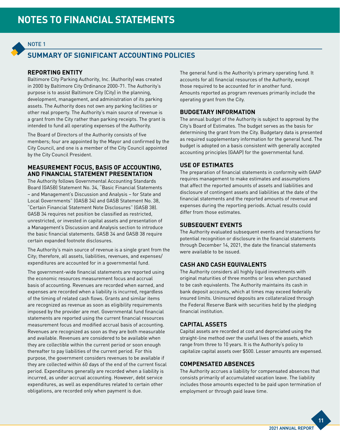### NOTE 1

### **SUMMARY OF SIGNIFICANT ACCOUNTING POLICIES**

#### **REPORTING ENTITY**

Baltimore City Parking Authority, Inc. (Authority) was created in 2000 by Baltimore City Ordinance 2000-71. The Authority's purpose is to assist Baltimore City (City) in the planning, development, management, and administration of its parking assets. The Authority does not own any parking facilities or other real property. The Authority's main source of revenue is a grant from the City rather than parking receipts. The grant is intended to fund all operating expenses of the Authority.

The Board of Directors of the Authority consists of five members; four are appointed by the Mayor and confirmed by the City Council, and one is a member of the City Council appointed by the City Council President.

#### **MEASUREMENT FOCUS, BASIS OF ACCOUNTING, AND FINANCIAL STATEMENT PRESENTATION**

The Authority follows Governmental Accounting Standards Board (GASB) Statement No. 34, "Basic Financial Statements – and Management's Discussion and Analysis – for State and Local Governments" (GASB 34) and GASB Statement No. 38, "Certain Financial Statement Note Disclosures" (GASB 38). GASB 34 requires net position be classified as restricted, unrestricted, or invested in capital assets and presentation of a Management's Discussion and Analysis section to introduce the basic financial statements. GASB 34 and GASB 38 require certain expanded footnote disclosures.

The Authority's main source of revenue is a single grant from the City; therefore, all assets, liabilities, revenues, and expenses/ expenditures are accounted for in a governmental fund.

The government-wide financial statements are reported using the economic resources measurement focus and accrual basis of accounting. Revenues are recorded when earned, and expenses are recorded when a liability is incurred, regardless of the timing of related cash flows. Grants and similar items are recognized as revenue as soon as eligibility requirements imposed by the provider are met. Governmental fund financial statements are reported using the current financial resources measurement focus and modified accrual basis of accounting. Revenues are recognized as soon as they are both measurable and available. Revenues are considered to be available when they are collectible within the current period or soon enough thereafter to pay liabilities of the current period. For this purpose, the government considers revenues to be available if they are collected within 60 days of the end of the current fiscal period. Expenditures generally are recorded when a liability is incurred, as under accrual accounting. However, debt service expenditures, as well as expenditures related to certain other obligations, are recorded only when payment is due.

The general fund is the Authority's primary operating fund. It accounts for all financial resources of the Authority, except those required to be accounted for in another fund. Amounts reported as program revenues primarily include the operating grant from the City.

#### **BUDGETARY INFORMATION**

The annual budget of the Authority is subject to approval by the City's Board of Estimates. The budget serves as the basis for determining the grant from the City. Budgetary data is presented as required supplementary information for the general fund. The budget is adopted on a basis consistent with generally accepted accounting principles (GAAP) for the governmental fund.

#### **USE OF ESTIMATES**

The preparation of financial statements in conformity with GAAP requires management to make estimates and assumptions that affect the reported amounts of assets and liabilities and disclosure of contingent assets and liabilities at the date of the financial statements and the reported amounts of revenue and expenses during the reporting periods. Actual results could differ from those estimates.

#### **SUBSEQUENT EVENTS**

The Authority evaluated subsequent events and transactions for potential recognition or disclosure in the financial statements through December 14, 2021, the date the financial statements were available to be issued.

#### **CASH AND CASH EQUIVALENTS**

The Authority considers all highly liquid investments with original maturities of three months or less when purchased to be cash equivalents. The Authority maintains its cash in bank deposit accounts, which at times may exceed federally insured limits. Uninsured deposits are collateralized through the Federal Reserve Bank with securities held by the pledging financial institution.

#### **CAPITAL ASSETS**

Capital assets are recorded at cost and depreciated using the straight-line method over the useful lives of the assets, which range from three to 10 years. It is the Authority's policy to capitalize capital assets over \$500. Lesser amounts are expensed.

#### **COMPENSATED ABSENCES**

The Authority accrues a liability for compensated absences that consists primarily of accumulated vacation leave. The liability includes those amounts expected to be paid upon termination of employment or through paid leave time.

2021 ANNUAL REPORT

**11**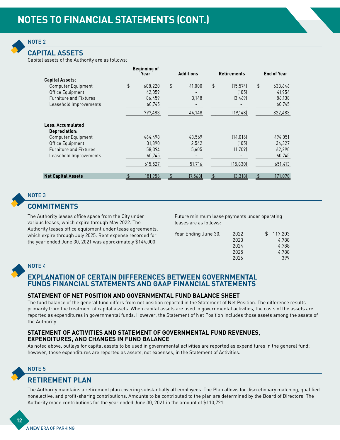

#### **CAPITAL ASSETS**

Capital assets of the Authority are as follows:

|                                                                                | <b>Beginning of</b><br>Year       | <b>Additions</b> |                 | <b>Retirements</b> |                              | <b>End of Year</b>                |
|--------------------------------------------------------------------------------|-----------------------------------|------------------|-----------------|--------------------|------------------------------|-----------------------------------|
| <b>Capital Assets:</b>                                                         |                                   |                  |                 |                    |                              |                                   |
| <b>Computer Equipment</b><br>Office Equipment<br><b>Furniture and Fixtures</b> | \$<br>608,220<br>42.059<br>86,459 | \$               | 41.000<br>3,148 | \$                 | (15.574)<br>(105)<br>(3,469) | \$<br>633,646<br>41,954<br>86,138 |
| Leasehold Improvements                                                         | 60,745<br>797,483                 |                  | 44,148          |                    | (19, 148)                    | 60,745<br>822,483                 |
| Less: Accumulated<br>Depreciation:                                             |                                   |                  |                 |                    |                              |                                   |
| Computer Equipment<br>Office Equipment                                         | 464,498<br>31,890                 |                  | 43,569<br>2,542 |                    | (14, 016)<br>(105)           | 494,051<br>34,327                 |
| <b>Furniture and Fixtures</b><br>Leasehold Improvements                        | 58,394<br>60,745                  |                  | 5,605           |                    | (1,709)                      | 62,290<br>60,745                  |
|                                                                                | 615,527                           |                  | 51,716          |                    | (15, 830)                    | 651,413                           |
| <b>Net Capital Assets</b>                                                      | \$<br>181,956                     | \$               | (7,568)         | \$                 | (3, 318)                     | \$<br>171,070                     |



### **COMMITMENTS**

The Authority leases office space from the City under various leases, which expire through May 2022. The Authority leases office equipment under lease agreements, which expire through July 2025. Rent expense recorded for the year ended June 30, 2021 was approximately \$144,000.

Future minimum lease payments under operating leases are as follows:

| Year Ending June 30, | 2022 | \$117.203 |
|----------------------|------|-----------|
|                      | 2023 | 4,788     |
|                      | 2024 | 4,788     |
|                      | 2025 | 4,788     |
|                      | 2026 | 399       |
|                      |      |           |

#### NOTE 4

#### **EXPLANATION OF CERTAIN DIFFERENCES BETWEEN GOVERNMENTAL FUNDS FINANCIAL STATEMENTS AND GAAP FINANCIAL STATEMENTS**

#### **STATEMENT OF NET POSITION AND GOVERNMENTAL FUND BALANCE SHEET**

The fund balance of the general fund differs from net position reported in the Statement of Net Position. The difference results primarily from the treatment of capital assets. When capital assets are used in governmental activities, the costs of the assets are reported as expenditures in governmental funds. However, the Statement of Net Position includes those assets among the assets of the Authority.

#### **STATEMENT OF ACTIVITIES AND STATEMENT OF GOVERNMENTAL FUND REVENUES, EXPENDITURES, AND CHANGES IN FUND BALANCE**

As noted above, outlays for capital assets to be used in governmental activities are reported as expenditures in the general fund; however, those expenditures are reported as assets, not expenses, in the Statement of Activities.



**12**

#### **RETIREMENT PLAN**

The Authority maintains a retirement plan covering substantially all employees. The Plan allows for discretionary matching, qualified nonelective, and profit-sharing contributions. Amounts to be contributed to the plan are determined by the Board of Directors. The Authority made contributions for the year ended June 30, 2021 in the amount of \$110,721.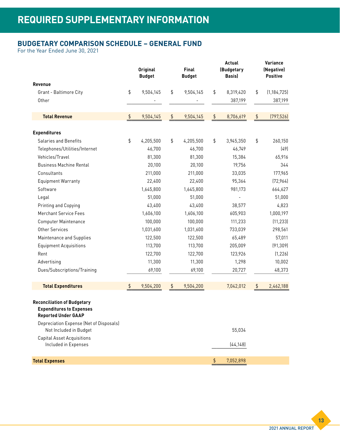### **BUDGETARY COMPARISON SCHEDULE – GENERAL FUND**

For the Year Ended June 30, 2021

|                                                                                                                                                |                | <b>Original</b><br><b>Budget</b> | Final<br><b>Budget</b> |           | Actual<br>(Budgetary<br>Basis) |           | Variance<br>(Negative)<br><b>Positive</b> |               |
|------------------------------------------------------------------------------------------------------------------------------------------------|----------------|----------------------------------|------------------------|-----------|--------------------------------|-----------|-------------------------------------------|---------------|
| Revenue                                                                                                                                        |                |                                  |                        |           |                                |           |                                           |               |
| Grant - Baltimore City                                                                                                                         | \$             | 9,504,145                        | \$                     | 9,504,145 | \$                             | 8,319,420 | \$                                        | (1, 184, 725) |
| Other                                                                                                                                          |                |                                  |                        |           |                                | 387,199   |                                           | 387,199       |
| <b>Total Revenue</b>                                                                                                                           | $\updownarrow$ | 9,504,145                        | $\updownarrow$         | 9,504,145 | $\updownarrow$                 | 8,706,619 | \$                                        | (797, 526)    |
| <b>Expenditures</b>                                                                                                                            |                |                                  |                        |           |                                |           |                                           |               |
| <b>Salaries and Benefits</b>                                                                                                                   | \$             | 4,205,500                        | \$                     | 4,205,500 | \$                             | 3,945,350 | \$                                        | 260,150       |
| Telephones/Utilities/Internet                                                                                                                  |                | 46,700                           |                        | 46,700    |                                | 46,749    |                                           | (49)          |
| Vehicles/Travel                                                                                                                                |                | 81,300                           |                        | 81,300    |                                | 15,384    |                                           | 65,916        |
| <b>Business Machine Rental</b>                                                                                                                 |                | 20,100                           |                        | 20,100    |                                | 19,756    |                                           | 344           |
| Consultants                                                                                                                                    |                | 211,000                          |                        | 211,000   |                                | 33,035    |                                           | 177,965       |
| <b>Equipment Warranty</b>                                                                                                                      |                | 22,400                           |                        | 22,400    |                                | 95,364    |                                           | [72,964]      |
| Software                                                                                                                                       |                | 1,645,800                        |                        | 1,645,800 |                                | 981,173   |                                           | 664,627       |
| Legal                                                                                                                                          |                | 51,000                           |                        | 51,000    |                                |           |                                           | 51,000        |
| Printing and Copying                                                                                                                           |                | 43,400                           |                        | 43,400    |                                | 38,577    |                                           | 4,823         |
| <b>Merchant Service Fees</b>                                                                                                                   |                | 1,606,100                        |                        | 1,606,100 |                                | 605,903   |                                           | 1,000,197     |
| <b>Computer Maintenance</b>                                                                                                                    |                | 100,000                          |                        | 100,000   |                                | 111,233   |                                           | (11, 233)     |
| Other Services                                                                                                                                 |                | 1,031,600                        |                        | 1,031,600 |                                | 733,039   |                                           | 298,561       |
| Maintenance and Supplies                                                                                                                       |                | 122,500                          |                        | 122,500   |                                | 65,489    |                                           | 57,011        |
| <b>Equipment Acquisitions</b>                                                                                                                  |                | 113,700                          |                        | 113,700   |                                | 205,009   |                                           | (91, 309)     |
| Rent                                                                                                                                           |                | 122,700                          |                        | 122,700   |                                | 123,926   |                                           | (1, 226)      |
| Advertising                                                                                                                                    |                | 11,300                           |                        | 11,300    |                                | 1,298     |                                           | 10,002        |
| Dues/Subscriptions/Training                                                                                                                    |                | 69,100                           |                        | 69,100    |                                | 20,727    |                                           | 48,373        |
| <b>Total Expenditures</b>                                                                                                                      | $\updownarrow$ | 9,504,200                        | \$                     | 9,504,200 |                                | 7,042,012 | \$                                        | 2,462,188     |
| <b>Reconciliation of Budgetary</b><br><b>Expenditures to Expenses</b><br><b>Reported Under GAAP</b><br>Depreciation Expense (Net of Disposals) |                |                                  |                        |           |                                |           |                                           |               |
| Not Included in Budget<br><b>Capital Asset Acquisitions</b>                                                                                    |                |                                  |                        |           |                                | 55,034    |                                           |               |
| Included in Expenses                                                                                                                           |                |                                  |                        |           |                                | (44, 148) |                                           |               |
| <b>Total Expenses</b>                                                                                                                          |                |                                  |                        |           | \$                             | 7,052,898 |                                           |               |